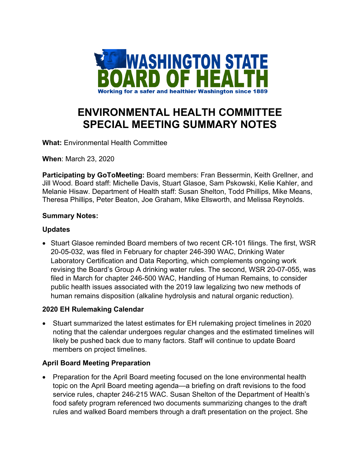

# **ENVIRONMENTAL HEALTH COMMITTEE SPECIAL MEETING SUMMARY NOTES**

**What:** Environmental Health Committee

**When**: March 23, 2020

**Participating by GoToMeeting:** Board members: Fran Bessermin, Keith Grellner, and Jill Wood. Board staff: Michelle Davis, Stuart Glasoe, Sam Pskowski, Kelie Kahler, and Melanie Hisaw. Department of Health staff: Susan Shelton, Todd Phillips, Mike Means, Theresa Phillips, Peter Beaton, Joe Graham, Mike Ellsworth, and Melissa Reynolds.

## **Summary Notes:**

## **Updates**

• Stuart Glasoe reminded Board members of two recent CR-101 filings. The first, WSR 20-05-032, was filed in February for chapter 246-390 WAC, Drinking Water Laboratory Certification and Data Reporting, which complements ongoing work revising the Board's Group A drinking water rules. The second, WSR 20-07-055, was filed in March for chapter 246-500 WAC, Handling of Human Remains, to consider public health issues associated with the 2019 law legalizing two new methods of human remains disposition (alkaline hydrolysis and natural organic reduction).

# **2020 EH Rulemaking Calendar**

• Stuart summarized the latest estimates for EH rulemaking project timelines in 2020 noting that the calendar undergoes regular changes and the estimated timelines will likely be pushed back due to many factors. Staff will continue to update Board members on project timelines.

# **April Board Meeting Preparation**

• Preparation for the April Board meeting focused on the lone environmental health topic on the April Board meeting agenda—a briefing on draft revisions to the food service rules, chapter 246-215 WAC. Susan Shelton of the Department of Health's food safety program referenced two documents summarizing changes to the draft rules and walked Board members through a draft presentation on the project. She